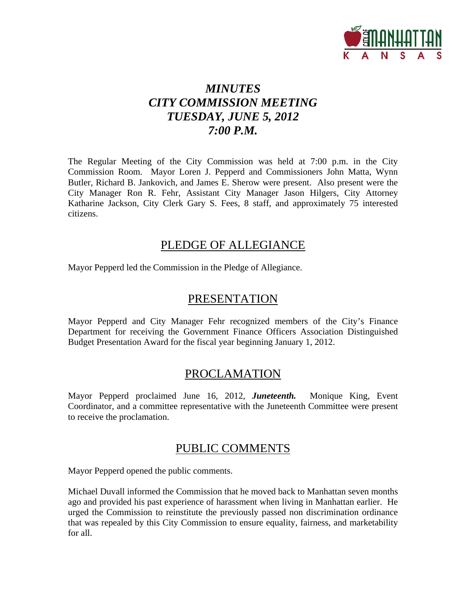

# *MINUTES CITY COMMISSION MEETING TUESDAY, JUNE 5, 2012 7:00 P.M.*

The Regular Meeting of the City Commission was held at 7:00 p.m. in the City Commission Room. Mayor Loren J. Pepperd and Commissioners John Matta, Wynn Butler, Richard B. Jankovich, and James E. Sherow were present. Also present were the City Manager Ron R. Fehr, Assistant City Manager Jason Hilgers, City Attorney Katharine Jackson, City Clerk Gary S. Fees, 8 staff, and approximately 75 interested citizens.

## PLEDGE OF ALLEGIANCE

Mayor Pepperd led the Commission in the Pledge of Allegiance.

### PRESENTATION

Mayor Pepperd and City Manager Fehr recognized members of the City's Finance Department for receiving the Government Finance Officers Association Distinguished Budget Presentation Award for the fiscal year beginning January 1, 2012.

## PROCLAMATION

Mayor Pepperd proclaimed June 16, 2012, *Juneteenth.* Monique King, Event Coordinator, and a committee representative with the Juneteenth Committee were present to receive the proclamation.

### PUBLIC COMMENTS

Mayor Pepperd opened the public comments.

Michael Duvall informed the Commission that he moved back to Manhattan seven months ago and provided his past experience of harassment when living in Manhattan earlier. He urged the Commission to reinstitute the previously passed non discrimination ordinance that was repealed by this City Commission to ensure equality, fairness, and marketability for all.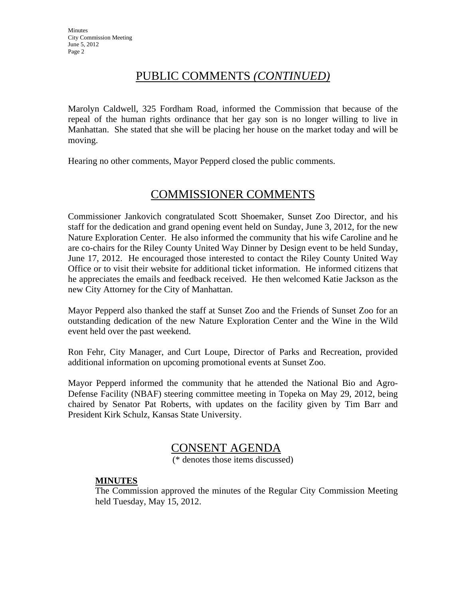## PUBLIC COMMENTS *(CONTINUED)*

Marolyn Caldwell, 325 Fordham Road, informed the Commission that because of the repeal of the human rights ordinance that her gay son is no longer willing to live in Manhattan. She stated that she will be placing her house on the market today and will be moving.

Hearing no other comments, Mayor Pepperd closed the public comments.

## COMMISSIONER COMMENTS

Commissioner Jankovich congratulated Scott Shoemaker, Sunset Zoo Director, and his staff for the dedication and grand opening event held on Sunday, June 3, 2012, for the new Nature Exploration Center. He also informed the community that his wife Caroline and he are co-chairs for the Riley County United Way Dinner by Design event to be held Sunday, June 17, 2012. He encouraged those interested to contact the Riley County United Way Office or to visit their website for additional ticket information. He informed citizens that he appreciates the emails and feedback received. He then welcomed Katie Jackson as the new City Attorney for the City of Manhattan.

Mayor Pepperd also thanked the staff at Sunset Zoo and the Friends of Sunset Zoo for an outstanding dedication of the new Nature Exploration Center and the Wine in the Wild event held over the past weekend.

Ron Fehr, City Manager, and Curt Loupe, Director of Parks and Recreation, provided additional information on upcoming promotional events at Sunset Zoo.

Mayor Pepperd informed the community that he attended the National Bio and Agro-Defense Facility (NBAF) steering committee meeting in Topeka on May 29, 2012, being chaired by Senator Pat Roberts, with updates on the facility given by Tim Barr and President Kirk Schulz, Kansas State University.

## CONSENT AGENDA

(\* denotes those items discussed)

### **MINUTES**

The Commission approved the minutes of the Regular City Commission Meeting held Tuesday, May 15, 2012.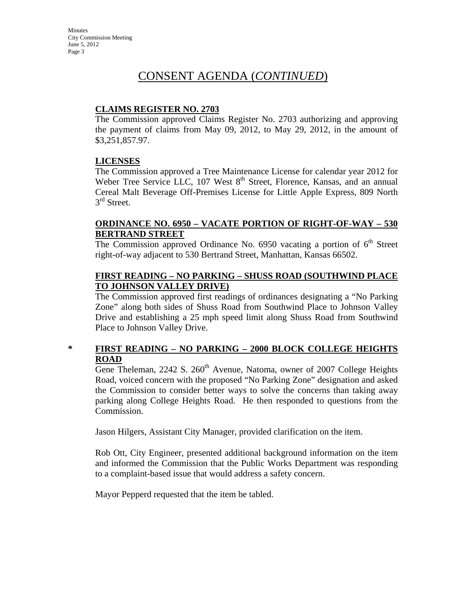### **CLAIMS REGISTER NO. 2703**

The Commission approved Claims Register No. 2703 authorizing and approving the payment of claims from May 09, 2012, to May 29, 2012, in the amount of \$3,251,857.97.

### **LICENSES**

The Commission approved a Tree Maintenance License for calendar year 2012 for Weber Tree Service LLC, 107 West  $8<sup>th</sup>$  Street, Florence, Kansas, and an annual Cereal Malt Beverage Off-Premises License for Little Apple Express, 809 North  $3<sup>rd</sup>$  Street.

### **ORDINANCE NO. 6950 – VACATE PORTION OF RIGHT-OF-WAY – 530 BERTRAND STREET**

The Commission approved Ordinance No. 6950 vacating a portion of  $6<sup>th</sup>$  Street right-of-way adjacent to 530 Bertrand Street, Manhattan, Kansas 66502.

### **FIRST READING – NO PARKING – SHUSS ROAD (SOUTHWIND PLACE TO JOHNSON VALLEY DRIVE)**

The Commission approved first readings of ordinances designating a "No Parking Zone" along both sides of Shuss Road from Southwind Place to Johnson Valley Drive and establishing a 25 mph speed limit along Shuss Road from Southwind Place to Johnson Valley Drive.

### **\* FIRST READING – NO PARKING – 2000 BLOCK COLLEGE HEIGHTS ROAD**

Gene Theleman, 2242 S. 260<sup>th</sup> Avenue, Natoma, owner of 2007 College Heights Road, voiced concern with the proposed "No Parking Zone" designation and asked the Commission to consider better ways to solve the concerns than taking away parking along College Heights Road. He then responded to questions from the Commission.

Jason Hilgers, Assistant City Manager, provided clarification on the item.

Rob Ott, City Engineer, presented additional background information on the item and informed the Commission that the Public Works Department was responding to a complaint-based issue that would address a safety concern.

Mayor Pepperd requested that the item be tabled.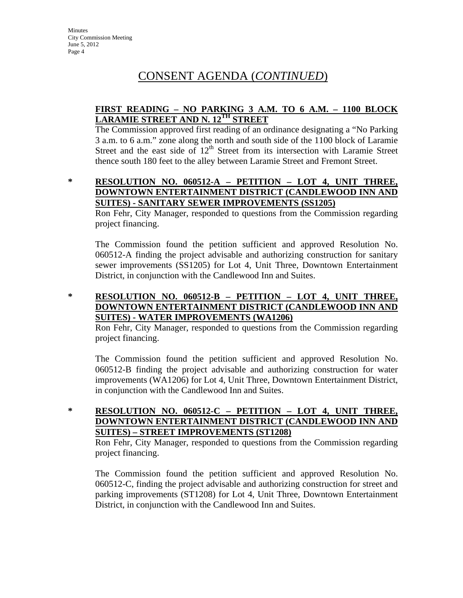### **FIRST READING – NO PARKING 3 A.M. TO 6 A.M. – 1100 BLOCK LARAMIE STREET AND N. 12TH STREET**

The Commission approved first reading of an ordinance designating a "No Parking 3 a.m. to 6 a.m." zone along the north and south side of the 1100 block of Laramie Street and the east side of  $12<sup>th</sup>$  Street from its intersection with Laramie Street thence south 180 feet to the alley between Laramie Street and Fremont Street.

#### **\* RESOLUTION NO. 060512-A – PETITION – LOT 4, UNIT THREE, DOWNTOWN ENTERTAINMENT DISTRICT (CANDLEWOOD INN AND SUITES) - SANITARY SEWER IMPROVEMENTS (SS1205)**

Ron Fehr, City Manager, responded to questions from the Commission regarding project financing.

The Commission found the petition sufficient and approved Resolution No. 060512-A finding the project advisable and authorizing construction for sanitary sewer improvements (SS1205) for Lot 4, Unit Three, Downtown Entertainment District, in conjunction with the Candlewood Inn and Suites.

### **\* RESOLUTION NO. 060512-B – PETITION – LOT 4, UNIT THREE, DOWNTOWN ENTERTAINMENT DISTRICT (CANDLEWOOD INN AND SUITES) - WATER IMPROVEMENTS (WA1206)**

Ron Fehr, City Manager, responded to questions from the Commission regarding project financing.

The Commission found the petition sufficient and approved Resolution No. 060512-B finding the project advisable and authorizing construction for water improvements (WA1206) for Lot 4, Unit Three, Downtown Entertainment District, in conjunction with the Candlewood Inn and Suites.

### **\* RESOLUTION NO. 060512-C – PETITION – LOT 4, UNIT THREE, DOWNTOWN ENTERTAINMENT DISTRICT (CANDLEWOOD INN AND SUITES) – STREET IMPROVEMENTS (ST1208)**

Ron Fehr, City Manager, responded to questions from the Commission regarding project financing.

The Commission found the petition sufficient and approved Resolution No. 060512-C, finding the project advisable and authorizing construction for street and parking improvements (ST1208) for Lot 4, Unit Three, Downtown Entertainment District, in conjunction with the Candlewood Inn and Suites.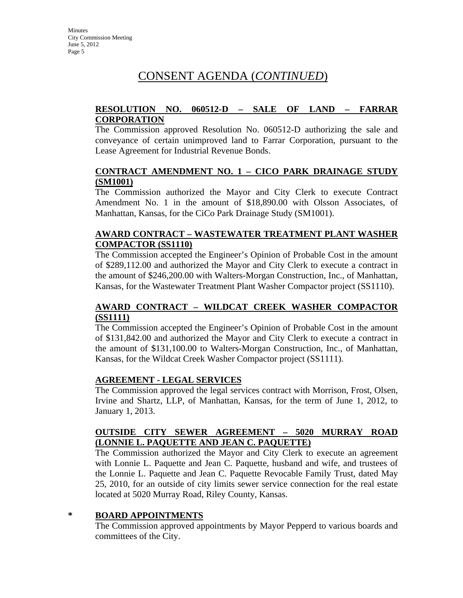### **RESOLUTION NO. 060512-D – SALE OF LAND – FARRAR CORPORATION**

The Commission approved Resolution No. 060512-D authorizing the sale and conveyance of certain unimproved land to Farrar Corporation, pursuant to the Lease Agreement for Industrial Revenue Bonds.

### **CONTRACT AMENDMENT NO. 1 – CICO PARK DRAINAGE STUDY (SM1001)**

The Commission authorized the Mayor and City Clerk to execute Contract Amendment No. 1 in the amount of \$18,890.00 with Olsson Associates, of Manhattan, Kansas, for the CiCo Park Drainage Study (SM1001).

### **AWARD CONTRACT – WASTEWATER TREATMENT PLANT WASHER COMPACTOR (SS1110)**

The Commission accepted the Engineer's Opinion of Probable Cost in the amount of \$289,112.00 and authorized the Mayor and City Clerk to execute a contract in the amount of \$246,200.00 with Walters-Morgan Construction, Inc., of Manhattan, Kansas, for the Wastewater Treatment Plant Washer Compactor project (SS1110).

### **AWARD CONTRACT – WILDCAT CREEK WASHER COMPACTOR (SS1111)**

The Commission accepted the Engineer's Opinion of Probable Cost in the amount of \$131,842.00 and authorized the Mayor and City Clerk to execute a contract in the amount of \$131,100.00 to Walters-Morgan Construction, Inc., of Manhattan, Kansas, for the Wildcat Creek Washer Compactor project (SS1111).

### **AGREEMENT - LEGAL SERVICES**

The Commission approved the legal services contract with Morrison, Frost, Olsen, Irvine and Shartz, LLP, of Manhattan, Kansas, for the term of June 1, 2012, to January 1, 2013.

### **OUTSIDE CITY SEWER AGREEMENT – 5020 MURRAY ROAD (LONNIE L. PAQUETTE AND JEAN C. PAQUETTE)**

The Commission authorized the Mayor and City Clerk to execute an agreement with Lonnie L. Paquette and Jean C. Paquette, husband and wife, and trustees of the Lonnie L. Paquette and Jean C. Paquette Revocable Family Trust, dated May 25, 2010, for an outside of city limits sewer service connection for the real estate located at 5020 Murray Road, Riley County, Kansas.

### **\* BOARD APPOINTMENTS**

The Commission approved appointments by Mayor Pepperd to various boards and committees of the City.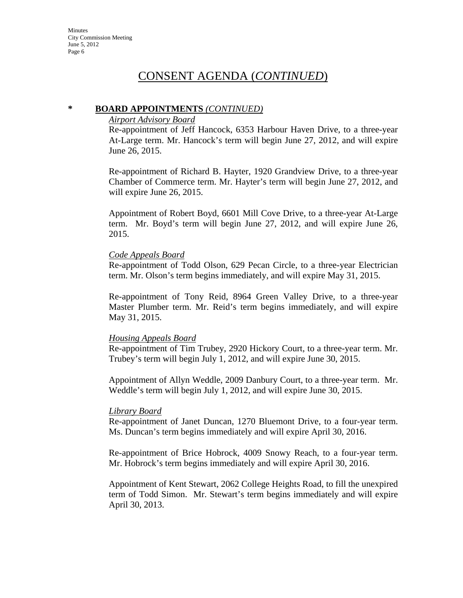#### **\* BOARD APPOINTMENTS** *(CONTINUED)*

#### *Airport Advisory Board*

Re-appointment of Jeff Hancock, 6353 Harbour Haven Drive, to a three-year At-Large term. Mr. Hancock's term will begin June 27, 2012, and will expire June 26, 2015.

Re-appointment of Richard B. Hayter, 1920 Grandview Drive, to a three-year Chamber of Commerce term. Mr. Hayter's term will begin June 27, 2012, and will expire June 26, 2015.

Appointment of Robert Boyd, 6601 Mill Cove Drive, to a three-year At-Large term. Mr. Boyd's term will begin June 27, 2012, and will expire June 26, 2015.

#### *Code Appeals Board*

Re-appointment of Todd Olson, 629 Pecan Circle, to a three-year Electrician term. Mr. Olson's term begins immediately, and will expire May 31, 2015.

Re-appointment of Tony Reid, 8964 Green Valley Drive, to a three-year Master Plumber term. Mr. Reid's term begins immediately, and will expire May 31, 2015.

#### *Housing Appeals Board*

Re-appointment of Tim Trubey, 2920 Hickory Court, to a three-year term. Mr. Trubey's term will begin July 1, 2012, and will expire June 30, 2015.

Appointment of Allyn Weddle, 2009 Danbury Court, to a three-year term. Mr. Weddle's term will begin July 1, 2012, and will expire June 30, 2015.

#### *Library Board*

Re-appointment of Janet Duncan, 1270 Bluemont Drive, to a four-year term. Ms. Duncan's term begins immediately and will expire April 30, 2016.

Re-appointment of Brice Hobrock, 4009 Snowy Reach, to a four-year term. Mr. Hobrock's term begins immediately and will expire April 30, 2016.

Appointment of Kent Stewart, 2062 College Heights Road, to fill the unexpired term of Todd Simon. Mr. Stewart's term begins immediately and will expire April 30, 2013.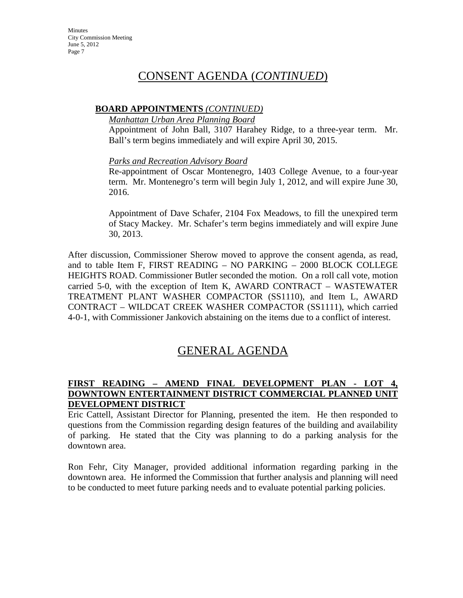### **BOARD APPOINTMENTS** *(CONTINUED)*

#### *Manhattan Urban Area Planning Board*

Appointment of John Ball, 3107 Harahey Ridge, to a three-year term. Mr. Ball's term begins immediately and will expire April 30, 2015.

### *Parks and Recreation Advisory Board*

Re-appointment of Oscar Montenegro, 1403 College Avenue, to a four-year term. Mr. Montenegro's term will begin July 1, 2012, and will expire June 30, 2016.

Appointment of Dave Schafer, 2104 Fox Meadows, to fill the unexpired term of Stacy Mackey. Mr. Schafer's term begins immediately and will expire June 30, 2013.

After discussion, Commissioner Sherow moved to approve the consent agenda, as read, and to table Item F, FIRST READING – NO PARKING – 2000 BLOCK COLLEGE HEIGHTS ROAD. Commissioner Butler seconded the motion. On a roll call vote, motion carried 5-0, with the exception of Item K, AWARD CONTRACT – WASTEWATER TREATMENT PLANT WASHER COMPACTOR (SS1110), and Item L, AWARD CONTRACT – WILDCAT CREEK WASHER COMPACTOR (SS1111), which carried 4-0-1, with Commissioner Jankovich abstaining on the items due to a conflict of interest.

# GENERAL AGENDA

### **FIRST READING – AMEND FINAL DEVELOPMENT PLAN - LOT 4, DOWNTOWN ENTERTAINMENT DISTRICT COMMERCIAL PLANNED UNIT DEVELOPMENT DISTRICT**

Eric Cattell, Assistant Director for Planning, presented the item. He then responded to questions from the Commission regarding design features of the building and availability of parking. He stated that the City was planning to do a parking analysis for the downtown area.

Ron Fehr, City Manager, provided additional information regarding parking in the downtown area. He informed the Commission that further analysis and planning will need to be conducted to meet future parking needs and to evaluate potential parking policies.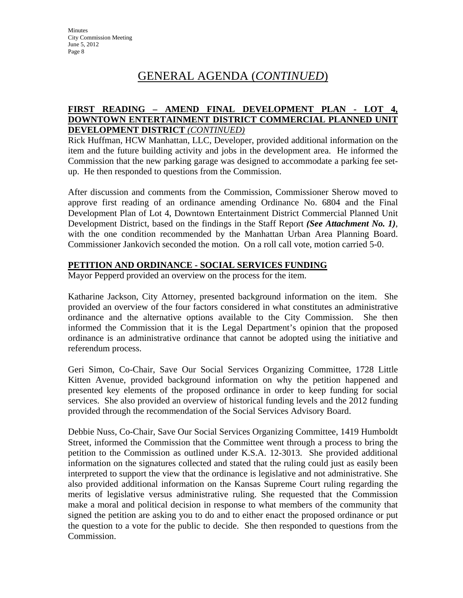# GENERAL AGENDA (*CONTINUED*)

### **FIRST READING – AMEND FINAL DEVELOPMENT PLAN - LOT 4, DOWNTOWN ENTERTAINMENT DISTRICT COMMERCIAL PLANNED UNIT DEVELOPMENT DISTRICT** *(CONTINUED)*

Rick Huffman, HCW Manhattan, LLC, Developer, provided additional information on the item and the future building activity and jobs in the development area. He informed the Commission that the new parking garage was designed to accommodate a parking fee setup. He then responded to questions from the Commission.

After discussion and comments from the Commission, Commissioner Sherow moved to approve first reading of an ordinance amending Ordinance No. 6804 and the Final Development Plan of Lot 4, Downtown Entertainment District Commercial Planned Unit Development District, based on the findings in the Staff Report *(See Attachment No. 1)*, with the one condition recommended by the Manhattan Urban Area Planning Board. Commissioner Jankovich seconded the motion. On a roll call vote, motion carried 5-0.

### **PETITION AND ORDINANCE - SOCIAL SERVICES FUNDING**

Mayor Pepperd provided an overview on the process for the item.

Katharine Jackson, City Attorney, presented background information on the item. She provided an overview of the four factors considered in what constitutes an administrative ordinance and the alternative options available to the City Commission. She then informed the Commission that it is the Legal Department's opinion that the proposed ordinance is an administrative ordinance that cannot be adopted using the initiative and referendum process.

Geri Simon, Co-Chair, Save Our Social Services Organizing Committee, 1728 Little Kitten Avenue, provided background information on why the petition happened and presented key elements of the proposed ordinance in order to keep funding for social services. She also provided an overview of historical funding levels and the 2012 funding provided through the recommendation of the Social Services Advisory Board.

Debbie Nuss, Co-Chair, Save Our Social Services Organizing Committee, 1419 Humboldt Street, informed the Commission that the Committee went through a process to bring the petition to the Commission as outlined under K.S.A. 12-3013. She provided additional information on the signatures collected and stated that the ruling could just as easily been interpreted to support the view that the ordinance is legislative and not administrative. She also provided additional information on the Kansas Supreme Court ruling regarding the merits of legislative versus administrative ruling. She requested that the Commission make a moral and political decision in response to what members of the community that signed the petition are asking you to do and to either enact the proposed ordinance or put the question to a vote for the public to decide. She then responded to questions from the Commission.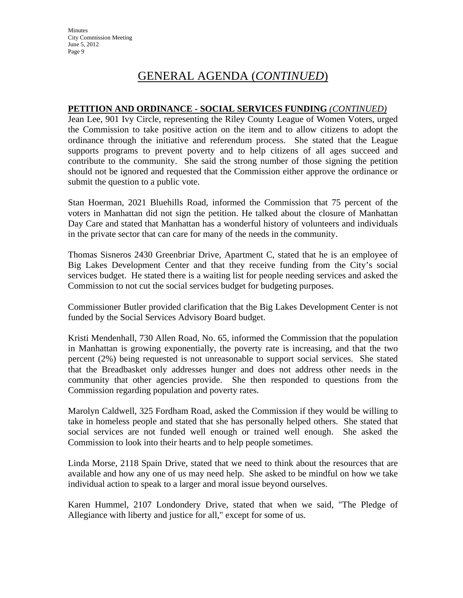# GENERAL AGENDA (*CONTINUED*)

#### **PETITION AND ORDINANCE - SOCIAL SERVICES FUNDING** *(CONTINUED)*

Jean Lee, 901 Ivy Circle, representing the Riley County League of Women Voters, urged the Commission to take positive action on the item and to allow citizens to adopt the ordinance through the initiative and referendum process. She stated that the League supports programs to prevent poverty and to help citizens of all ages succeed and contribute to the community. She said the strong number of those signing the petition should not be ignored and requested that the Commission either approve the ordinance or submit the question to a public vote.

Stan Hoerman, 2021 Bluehills Road, informed the Commission that 75 percent of the voters in Manhattan did not sign the petition. He talked about the closure of Manhattan Day Care and stated that Manhattan has a wonderful history of volunteers and individuals in the private sector that can care for many of the needs in the community.

Thomas Sisneros 2430 Greenbriar Drive, Apartment C, stated that he is an employee of Big Lakes Development Center and that they receive funding from the City's social services budget. He stated there is a waiting list for people needing services and asked the Commission to not cut the social services budget for budgeting purposes.

Commissioner Butler provided clarification that the Big Lakes Development Center is not funded by the Social Services Advisory Board budget.

Kristi Mendenhall, 730 Allen Road, No. 65, informed the Commission that the population in Manhattan is growing exponentially, the poverty rate is increasing, and that the two percent (2%) being requested is not unreasonable to support social services. She stated that the Breadbasket only addresses hunger and does not address other needs in the community that other agencies provide. She then responded to questions from the Commission regarding population and poverty rates.

Marolyn Caldwell, 325 Fordham Road, asked the Commission if they would be willing to take in homeless people and stated that she has personally helped others. She stated that social services are not funded well enough or trained well enough. She asked the Commission to look into their hearts and to help people sometimes.

Linda Morse, 2118 Spain Drive, stated that we need to think about the resources that are available and how any one of us may need help. She asked to be mindful on how we take individual action to speak to a larger and moral issue beyond ourselves.

Karen Hummel, 2107 Londondery Drive, stated that when we said, "The Pledge of Allegiance with liberty and justice for all," except for some of us.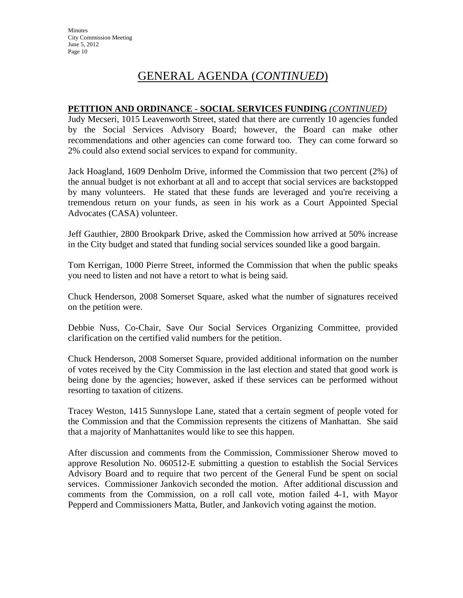# GENERAL AGENDA (*CONTINUED*)

#### **PETITION AND ORDINANCE - SOCIAL SERVICES FUNDING** *(CONTINUED)*

Judy Mecseri, 1015 Leavenworth Street, stated that there are currently 10 agencies funded by the Social Services Advisory Board; however, the Board can make other recommendations and other agencies can come forward too. They can come forward so 2% could also extend social services to expand for community.

Jack Hoagland, 1609 Denholm Drive, informed the Commission that two percent (2%) of the annual budget is not exhorbant at all and to accept that social services are backstopped by many volunteers. He stated that these funds are leveraged and you're receiving a tremendous return on your funds, as seen in his work as a Court Appointed Special Advocates (CASA) volunteer.

Jeff Gauthier, 2800 Brookpark Drive, asked the Commission how arrived at 50% increase in the City budget and stated that funding social services sounded like a good bargain.

Tom Kerrigan, 1000 Pierre Street, informed the Commission that when the public speaks you need to listen and not have a retort to what is being said.

Chuck Henderson, 2008 Somerset Square, asked what the number of signatures received on the petition were.

Debbie Nuss, Co-Chair, Save Our Social Services Organizing Committee, provided clarification on the certified valid numbers for the petition.

Chuck Henderson, 2008 Somerset Square, provided additional information on the number of votes received by the City Commission in the last election and stated that good work is being done by the agencies; however, asked if these services can be performed without resorting to taxation of citizens.

Tracey Weston, 1415 Sunnyslope Lane, stated that a certain segment of people voted for the Commission and that the Commission represents the citizens of Manhattan. She said that a majority of Manhattanites would like to see this happen.

After discussion and comments from the Commission, Commissioner Sherow moved to approve Resolution No. 060512-E submitting a question to establish the Social Services Advisory Board and to require that two percent of the General Fund be spent on social services. Commissioner Jankovich seconded the motion. After additional discussion and comments from the Commission, on a roll call vote, motion failed 4-1, with Mayor Pepperd and Commissioners Matta, Butler, and Jankovich voting against the motion.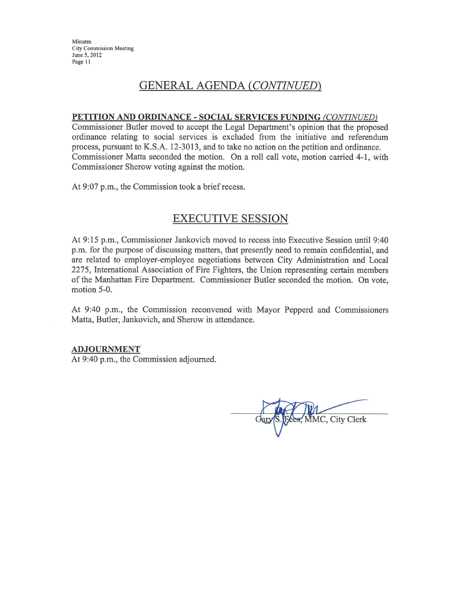Minutes City Commission Meeting June 5, 2012 Page 11

## **GENERAL AGENDA (CONTINUED)**

#### PETITION AND ORDINANCE - SOCIAL SERVICES FUNDING (CONTINUED)

Commissioner Butler moved to accept the Legal Department's opinion that the proposed ordinance relating to social services is excluded from the initiative and referendum process, pursuant to K.S.A. 12-3013, and to take no action on the petition and ordinance. Commissioner Matta seconded the motion. On a roll call vote, motion carried 4-1, with Commissioner Sherow voting against the motion.

At 9:07 p.m., the Commission took a brief recess.

### **EXECUTIVE SESSION**

At 9:15 p.m., Commissioner Jankovich moved to recess into Executive Session until 9:40 p.m. for the purpose of discussing matters, that presently need to remain confidential, and are related to employer-employee negotiations between City Administration and Local 2275, International Association of Fire Fighters, the Union representing certain members of the Manhattan Fire Department. Commissioner Butler seconded the motion. On vote, motion 5-0.

At 9:40 p.m., the Commission reconvened with Mayor Pepperd and Commissioners Matta, Butler, Jankovich, and Sherow in attendance.

#### **ADJOURNMENT**

At 9:40 p.m., the Commission adjourned.

MMC, City Clerk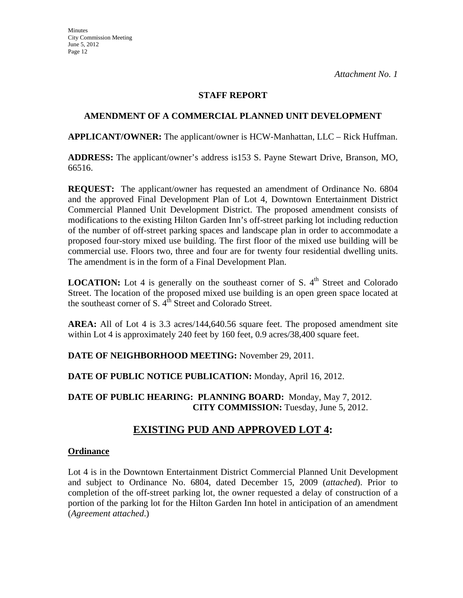### **STAFF REPORT**

### **AMENDMENT OF A COMMERCIAL PLANNED UNIT DEVELOPMENT**

**APPLICANT/OWNER:** The applicant/owner is HCW-Manhattan, LLC – Rick Huffman.

**ADDRESS:** The applicant/owner's address is153 S. Payne Stewart Drive, Branson, MO, 66516.

**REQUEST:** The applicant/owner has requested an amendment of Ordinance No. 6804 and the approved Final Development Plan of Lot 4, Downtown Entertainment District Commercial Planned Unit Development District. The proposed amendment consists of modifications to the existing Hilton Garden Inn's off-street parking lot including reduction of the number of off-street parking spaces and landscape plan in order to accommodate a proposed four-story mixed use building. The first floor of the mixed use building will be commercial use. Floors two, three and four are for twenty four residential dwelling units. The amendment is in the form of a Final Development Plan.

**LOCATION:** Lot 4 is generally on the southeast corner of S.  $4<sup>th</sup>$  Street and Colorado Street. The location of the proposed mixed use building is an open green space located at the southeast corner of S.  $4<sup>th</sup>$  Street and Colorado Street.

**AREA:** All of Lot 4 is 3.3 acres/144,640.56 square feet. The proposed amendment site within Lot 4 is approximately 240 feet by 160 feet, 0.9 acres/38,400 square feet.

**DATE OF NEIGHBORHOOD MEETING:** November 29, 2011.

**DATE OF PUBLIC NOTICE PUBLICATION:** Monday, April 16, 2012.

**DATE OF PUBLIC HEARING: PLANNING BOARD:** Monday, May 7, 2012. **CITY COMMISSION:** Tuesday, June 5, 2012.

### **EXISTING PUD AND APPROVED LOT 4:**

#### **Ordinance**

Lot 4 is in the Downtown Entertainment District Commercial Planned Unit Development and subject to Ordinance No. 6804, dated December 15, 2009 (*attached*). Prior to completion of the off-street parking lot, the owner requested a delay of construction of a portion of the parking lot for the Hilton Garden Inn hotel in anticipation of an amendment (*Agreement attached*.)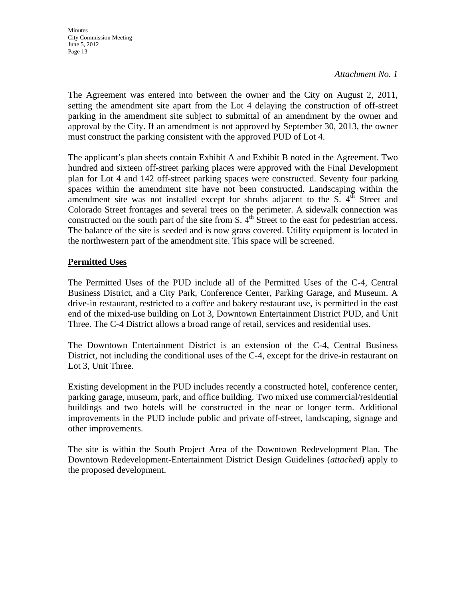The Agreement was entered into between the owner and the City on August 2, 2011, setting the amendment site apart from the Lot 4 delaying the construction of off-street parking in the amendment site subject to submittal of an amendment by the owner and approval by the City. If an amendment is not approved by September 30, 2013, the owner must construct the parking consistent with the approved PUD of Lot 4.

The applicant's plan sheets contain Exhibit A and Exhibit B noted in the Agreement. Two hundred and sixteen off-street parking places were approved with the Final Development plan for Lot 4 and 142 off-street parking spaces were constructed. Seventy four parking spaces within the amendment site have not been constructed. Landscaping within the amendment site was not installed except for shrubs adjacent to the  $S$ .  $4^{th}$  Street and Colorado Street frontages and several trees on the perimeter. A sidewalk connection was constructed on the south part of the site from S.  $4<sup>th</sup>$  Street to the east for pedestrian access. The balance of the site is seeded and is now grass covered. Utility equipment is located in the northwestern part of the amendment site. This space will be screened.

### **Permitted Uses**

The Permitted Uses of the PUD include all of the Permitted Uses of the C-4, Central Business District, and a City Park, Conference Center, Parking Garage, and Museum. A drive-in restaurant, restricted to a coffee and bakery restaurant use, is permitted in the east end of the mixed-use building on Lot 3, Downtown Entertainment District PUD, and Unit Three. The C-4 District allows a broad range of retail, services and residential uses.

The Downtown Entertainment District is an extension of the C-4, Central Business District, not including the conditional uses of the C-4, except for the drive-in restaurant on Lot 3, Unit Three.

Existing development in the PUD includes recently a constructed hotel, conference center, parking garage, museum, park, and office building. Two mixed use commercial/residential buildings and two hotels will be constructed in the near or longer term. Additional improvements in the PUD include public and private off-street, landscaping, signage and other improvements.

The site is within the South Project Area of the Downtown Redevelopment Plan. The Downtown Redevelopment-Entertainment District Design Guidelines (*attached*) apply to the proposed development.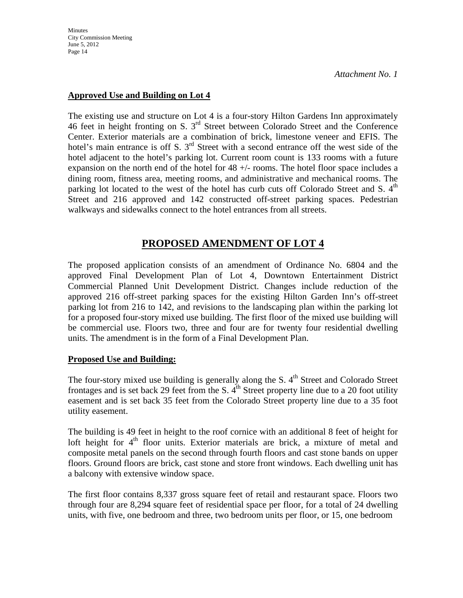**Minutes** City Commission Meeting June 5, 2012 Page 14

*Attachment No. 1*

### **Approved Use and Building on Lot 4**

The existing use and structure on Lot 4 is a four-story Hilton Gardens Inn approximately 46 feet in height fronting on S. 3rd Street between Colorado Street and the Conference Center. Exterior materials are a combination of brick, limestone veneer and EFIS. The hotel's main entrance is off S.  $3<sup>rd</sup>$  Street with a second entrance off the west side of the hotel adjacent to the hotel's parking lot. Current room count is 133 rooms with a future expansion on the north end of the hotel for 48 +/- rooms. The hotel floor space includes a dining room, fitness area, meeting rooms, and administrative and mechanical rooms. The parking lot located to the west of the hotel has curb cuts off Colorado Street and S. 4<sup>th</sup> Street and 216 approved and 142 constructed off-street parking spaces. Pedestrian walkways and sidewalks connect to the hotel entrances from all streets.

### **PROPOSED AMENDMENT OF LOT 4**

The proposed application consists of an amendment of Ordinance No. 6804 and the approved Final Development Plan of Lot 4, Downtown Entertainment District Commercial Planned Unit Development District. Changes include reduction of the approved 216 off-street parking spaces for the existing Hilton Garden Inn's off-street parking lot from 216 to 142, and revisions to the landscaping plan within the parking lot for a proposed four-story mixed use building. The first floor of the mixed use building will be commercial use. Floors two, three and four are for twenty four residential dwelling units. The amendment is in the form of a Final Development Plan.

#### **Proposed Use and Building:**

The four-story mixed use building is generally along the S.  $4<sup>th</sup>$  Street and Colorado Street frontages and is set back 29 feet from the S.  $4<sup>th</sup>$  Street property line due to a 20 foot utility easement and is set back 35 feet from the Colorado Street property line due to a 35 foot utility easement.

The building is 49 feet in height to the roof cornice with an additional 8 feet of height for loft height for  $4<sup>th</sup>$  floor units. Exterior materials are brick, a mixture of metal and composite metal panels on the second through fourth floors and cast stone bands on upper floors. Ground floors are brick, cast stone and store front windows. Each dwelling unit has a balcony with extensive window space.

The first floor contains 8,337 gross square feet of retail and restaurant space. Floors two through four are 8,294 square feet of residential space per floor, for a total of 24 dwelling units, with five, one bedroom and three, two bedroom units per floor, or 15, one bedroom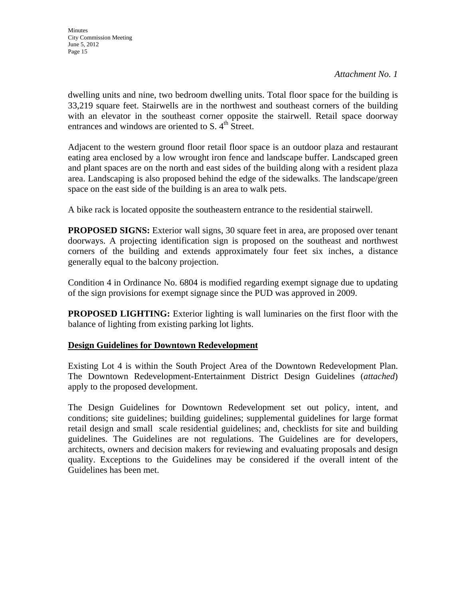dwelling units and nine, two bedroom dwelling units. Total floor space for the building is 33,219 square feet. Stairwells are in the northwest and southeast corners of the building with an elevator in the southeast corner opposite the stairwell. Retail space doorway entrances and windows are oriented to S.  $4<sup>th</sup>$  Street.

Adjacent to the western ground floor retail floor space is an outdoor plaza and restaurant eating area enclosed by a low wrought iron fence and landscape buffer. Landscaped green and plant spaces are on the north and east sides of the building along with a resident plaza area. Landscaping is also proposed behind the edge of the sidewalks. The landscape/green space on the east side of the building is an area to walk pets.

A bike rack is located opposite the southeastern entrance to the residential stairwell.

**PROPOSED SIGNS:** Exterior wall signs, 30 square feet in area, are proposed over tenant doorways. A projecting identification sign is proposed on the southeast and northwest corners of the building and extends approximately four feet six inches, a distance generally equal to the balcony projection.

Condition 4 in Ordinance No. 6804 is modified regarding exempt signage due to updating of the sign provisions for exempt signage since the PUD was approved in 2009.

**PROPOSED LIGHTING:** Exterior lighting is wall luminaries on the first floor with the balance of lighting from existing parking lot lights.

### **Design Guidelines for Downtown Redevelopment**

Existing Lot 4 is within the South Project Area of the Downtown Redevelopment Plan. The Downtown Redevelopment-Entertainment District Design Guidelines (*attached*) apply to the proposed development.

The Design Guidelines for Downtown Redevelopment set out policy, intent, and conditions; site guidelines; building guidelines; supplemental guidelines for large format retail design and small scale residential guidelines; and, checklists for site and building guidelines. The Guidelines are not regulations. The Guidelines are for developers, architects, owners and decision makers for reviewing and evaluating proposals and design quality. Exceptions to the Guidelines may be considered if the overall intent of the Guidelines has been met.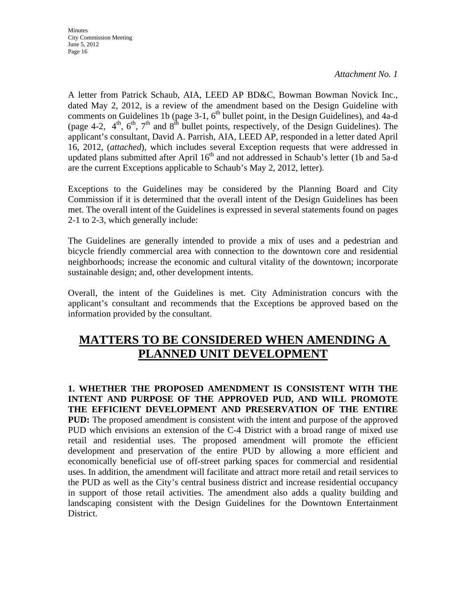**Minutes** City Commission Meeting June 5, 2012 Page 16

*Attachment No. 1*

A letter from Patrick Schaub, AIA, LEED AP BD&C, Bowman Bowman Novick Inc., dated May 2, 2012, is a review of the amendment based on the Design Guideline with comments on Guidelines 1b (page  $3-1$ ,  $6<sup>th</sup>$  bullet point, in the Design Guidelines), and 4a-d (page 4-2,  $4<sup>th</sup>$ ,  $6<sup>th</sup>$ ,  $7<sup>th</sup>$  and  $8<sup>th</sup>$  bullet points, respectively, of the Design Guidelines). The applicant's consultant, David A. Parrish, AIA, LEED AP, responded in a letter dated April 16, 2012, (*attached*), which includes several Exception requests that were addressed in updated plans submitted after April  $16<sup>th</sup>$  and not addressed in Schaub's letter (1b and 5a-d are the current Exceptions applicable to Schaub's May 2, 2012, letter).

Exceptions to the Guidelines may be considered by the Planning Board and City Commission if it is determined that the overall intent of the Design Guidelines has been met. The overall intent of the Guidelines is expressed in several statements found on pages 2-1 to 2-3, which generally include:

The Guidelines are generally intended to provide a mix of uses and a pedestrian and bicycle friendly commercial area with connection to the downtown core and residential neighborhoods; increase the economic and cultural vitality of the downtown; incorporate sustainable design; and, other development intents.

Overall, the intent of the Guidelines is met. City Administration concurs with the applicant's consultant and recommends that the Exceptions be approved based on the information provided by the consultant.

## **MATTERS TO BE CONSIDERED WHEN AMENDING A PLANNED UNIT DEVELOPMENT**

**1. WHETHER THE PROPOSED AMENDMENT IS CONSISTENT WITH THE INTENT AND PURPOSE OF THE APPROVED PUD, AND WILL PROMOTE THE EFFICIENT DEVELOPMENT AND PRESERVATION OF THE ENTIRE PUD:** The proposed amendment is consistent with the intent and purpose of the approved PUD which envisions an extension of the C-4 District with a broad range of mixed use retail and residential uses. The proposed amendment will promote the efficient development and preservation of the entire PUD by allowing a more efficient and economically beneficial use of off-street parking spaces for commercial and residential uses. In addition, the amendment will facilitate and attract more retail and retail services to the PUD as well as the City's central business district and increase residential occupancy in support of those retail activities. The amendment also adds a quality building and landscaping consistent with the Design Guidelines for the Downtown Entertainment District.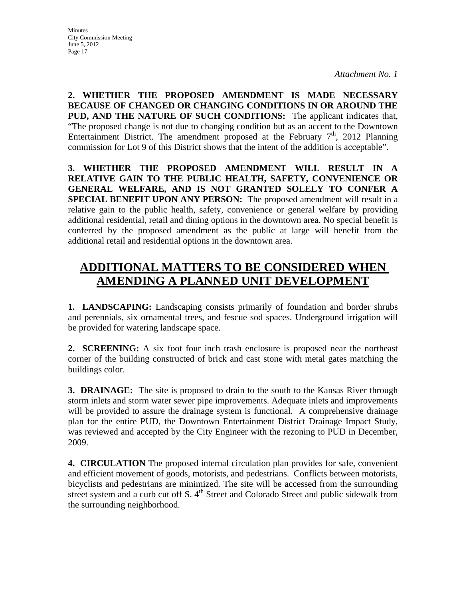**2. WHETHER THE PROPOSED AMENDMENT IS MADE NECESSARY BECAUSE OF CHANGED OR CHANGING CONDITIONS IN OR AROUND THE PUD, AND THE NATURE OF SUCH CONDITIONS:** The applicant indicates that, "The proposed change is not due to changing condition but as an accent to the Downtown Entertainment District. The amendment proposed at the February  $7<sup>th</sup>$ , 2012 Planning commission for Lot 9 of this District shows that the intent of the addition is acceptable".

**3. WHETHER THE PROPOSED AMENDMENT WILL RESULT IN A RELATIVE GAIN TO THE PUBLIC HEALTH, SAFETY, CONVENIENCE OR GENERAL WELFARE, AND IS NOT GRANTED SOLELY TO CONFER A SPECIAL BENEFIT UPON ANY PERSON:** The proposed amendment will result in a relative gain to the public health, safety, convenience or general welfare by providing additional residential, retail and dining options in the downtown area. No special benefit is conferred by the proposed amendment as the public at large will benefit from the additional retail and residential options in the downtown area.

# **ADDITIONAL MATTERS TO BE CONSIDERED WHEN AMENDING A PLANNED UNIT DEVELOPMENT**

**1. LANDSCAPING:** Landscaping consists primarily of foundation and border shrubs and perennials, six ornamental trees, and fescue sod spaces. Underground irrigation will be provided for watering landscape space.

**2. SCREENING:** A six foot four inch trash enclosure is proposed near the northeast corner of the building constructed of brick and cast stone with metal gates matching the buildings color.

**3. DRAINAGE:** The site is proposed to drain to the south to the Kansas River through storm inlets and storm water sewer pipe improvements. Adequate inlets and improvements will be provided to assure the drainage system is functional. A comprehensive drainage plan for the entire PUD, the Downtown Entertainment District Drainage Impact Study, was reviewed and accepted by the City Engineer with the rezoning to PUD in December, 2009.

**4. CIRCULATION** The proposed internal circulation plan provides for safe, convenient and efficient movement of goods, motorists, and pedestrians. Conflicts between motorists, bicyclists and pedestrians are minimized. The site will be accessed from the surrounding street system and a curb cut off S.  $4<sup>th</sup>$  Street and Colorado Street and public sidewalk from the surrounding neighborhood.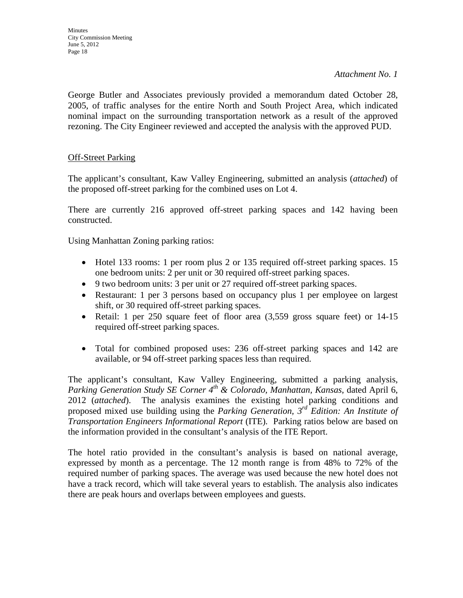George Butler and Associates previously provided a memorandum dated October 28, 2005, of traffic analyses for the entire North and South Project Area, which indicated nominal impact on the surrounding transportation network as a result of the approved rezoning. The City Engineer reviewed and accepted the analysis with the approved PUD.

### **Off-Street Parking**

The applicant's consultant, Kaw Valley Engineering, submitted an analysis (*attached*) of the proposed off-street parking for the combined uses on Lot 4.

There are currently 216 approved off-street parking spaces and 142 having been constructed.

Using Manhattan Zoning parking ratios:

- Hotel 133 rooms: 1 per room plus 2 or 135 required off-street parking spaces. 15 one bedroom units: 2 per unit or 30 required off-street parking spaces.
- 9 two bedroom units: 3 per unit or 27 required off-street parking spaces.
- Restaurant: 1 per 3 persons based on occupancy plus 1 per employee on largest shift, or 30 required off-street parking spaces.
- Retail: 1 per 250 square feet of floor area  $(3,559)$  gross square feet) or 14-15 required off-street parking spaces.
- Total for combined proposed uses: 236 off-street parking spaces and 142 are available, or 94 off-street parking spaces less than required.

The applicant's consultant, Kaw Valley Engineering, submitted a parking analysis, *Parking Generation Study SE Corner 4<sup>th</sup> & Colorado, Manhattan, Kansas, dated April 6,* 2012 (*attached*). The analysis examines the existing hotel parking conditions and proposed mixed use building using the *Parking Generation, 3rd Edition: An Institute of Transportation Engineers Informational Report* (ITE)*.* Parking ratios below are based on the information provided in the consultant's analysis of the ITE Report.

The hotel ratio provided in the consultant's analysis is based on national average, expressed by month as a percentage. The 12 month range is from 48% to 72% of the required number of parking spaces. The average was used because the new hotel does not have a track record, which will take several years to establish. The analysis also indicates there are peak hours and overlaps between employees and guests.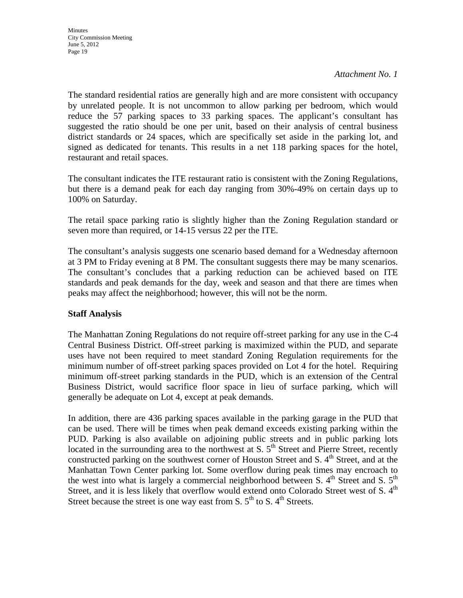The standard residential ratios are generally high and are more consistent with occupancy by unrelated people. It is not uncommon to allow parking per bedroom, which would reduce the 57 parking spaces to 33 parking spaces. The applicant's consultant has suggested the ratio should be one per unit, based on their analysis of central business district standards or 24 spaces, which are specifically set aside in the parking lot, and signed as dedicated for tenants. This results in a net 118 parking spaces for the hotel, restaurant and retail spaces.

The consultant indicates the ITE restaurant ratio is consistent with the Zoning Regulations, but there is a demand peak for each day ranging from 30%-49% on certain days up to 100% on Saturday.

The retail space parking ratio is slightly higher than the Zoning Regulation standard or seven more than required, or 14-15 versus 22 per the ITE.

The consultant's analysis suggests one scenario based demand for a Wednesday afternoon at 3 PM to Friday evening at 8 PM. The consultant suggests there may be many scenarios. The consultant's concludes that a parking reduction can be achieved based on ITE standards and peak demands for the day, week and season and that there are times when peaks may affect the neighborhood; however, this will not be the norm.

### **Staff Analysis**

The Manhattan Zoning Regulations do not require off-street parking for any use in the C-4 Central Business District. Off-street parking is maximized within the PUD, and separate uses have not been required to meet standard Zoning Regulation requirements for the minimum number of off-street parking spaces provided on Lot 4 for the hotel. Requiring minimum off-street parking standards in the PUD, which is an extension of the Central Business District, would sacrifice floor space in lieu of surface parking, which will generally be adequate on Lot 4, except at peak demands.

In addition, there are 436 parking spaces available in the parking garage in the PUD that can be used. There will be times when peak demand exceeds existing parking within the PUD. Parking is also available on adjoining public streets and in public parking lots located in the surrounding area to the northwest at S.  $5<sup>th</sup>$  Street and Pierre Street, recently constructed parking on the southwest corner of Houston Street and S.  $4<sup>th</sup>$  Street, and at the Manhattan Town Center parking lot. Some overflow during peak times may encroach to the west into what is largely a commercial neighborhood between S.  $4<sup>th</sup>$  Street and S.  $5<sup>th</sup>$ Street, and it is less likely that overflow would extend onto Colorado Street west of S. 4<sup>th</sup> Street because the street is one way east from S.  $5<sup>th</sup>$  to S.  $4<sup>th</sup>$  Streets.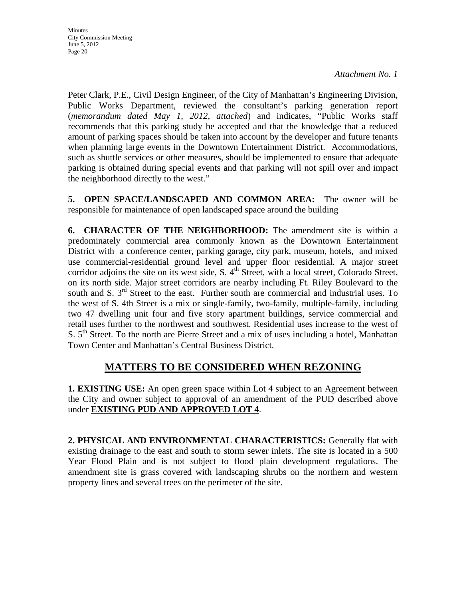**Minutes** City Commission Meeting June 5, 2012 Page 20

*Attachment No. 1*

Peter Clark, P.E., Civil Design Engineer, of the City of Manhattan's Engineering Division, Public Works Department, reviewed the consultant's parking generation report (*memorandum dated May 1, 2012, attached*) and indicates, "Public Works staff recommends that this parking study be accepted and that the knowledge that a reduced amount of parking spaces should be taken into account by the developer and future tenants when planning large events in the Downtown Entertainment District. Accommodations, such as shuttle services or other measures, should be implemented to ensure that adequate parking is obtained during special events and that parking will not spill over and impact the neighborhood directly to the west."

**5. OPEN SPACE/LANDSCAPED AND COMMON AREA:** The owner will be responsible for maintenance of open landscaped space around the building

**6. CHARACTER OF THE NEIGHBORHOOD:** The amendment site is within a predominately commercial area commonly known as the Downtown Entertainment District with a conference center, parking garage, city park, museum, hotels, and mixed use commercial-residential ground level and upper floor residential. A major street corridor adjoins the site on its west side, S.  $4<sup>th</sup>$  Street, with a local street, Colorado Street, on its north side. Major street corridors are nearby including Ft. Riley Boulevard to the south and S.  $3<sup>rd</sup>$  Street to the east. Further south are commercial and industrial uses. To the west of S. 4th Street is a mix or single-family, two-family, multiple-family, including two 47 dwelling unit four and five story apartment buildings, service commercial and retail uses further to the northwest and southwest. Residential uses increase to the west of S.  $5<sup>th</sup>$  Street. To the north are Pierre Street and a mix of uses including a hotel, Manhattan Town Center and Manhattan's Central Business District.

### **MATTERS TO BE CONSIDERED WHEN REZONING**

**1. EXISTING USE:** An open green space within Lot 4 subject to an Agreement between the City and owner subject to approval of an amendment of the PUD described above under **EXISTING PUD AND APPROVED LOT 4**.

**2. PHYSICAL AND ENVIRONMENTAL CHARACTERISTICS:** Generally flat with existing drainage to the east and south to storm sewer inlets. The site is located in a 500 Year Flood Plain and is not subject to flood plain development regulations. The amendment site is grass covered with landscaping shrubs on the northern and western property lines and several trees on the perimeter of the site.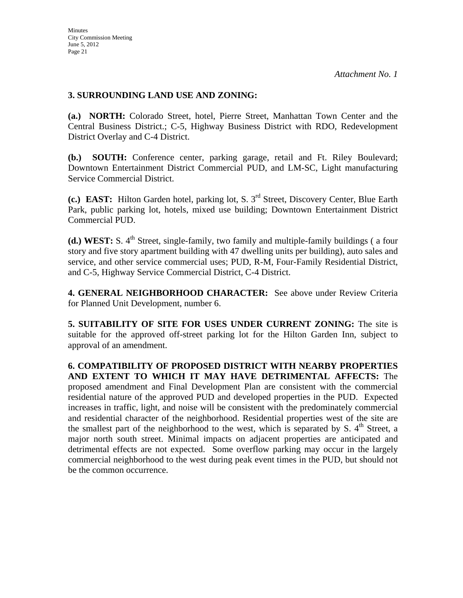### **3. SURROUNDING LAND USE AND ZONING:**

**(a.) NORTH:** Colorado Street, hotel, Pierre Street, Manhattan Town Center and the Central Business District.; C-5, Highway Business District with RDO, Redevelopment District Overlay and C-4 District.

**(b.) SOUTH:** Conference center, parking garage, retail and Ft. Riley Boulevard; Downtown Entertainment District Commercial PUD, and LM-SC, Light manufacturing Service Commercial District.

**(c.) EAST:** Hilton Garden hotel, parking lot, S. 3rd Street, Discovery Center, Blue Earth Park, public parking lot, hotels, mixed use building; Downtown Entertainment District Commercial PUD.

(d.) WEST: S. 4<sup>th</sup> Street, single-family, two family and multiple-family buildings (a four story and five story apartment building with 47 dwelling units per building), auto sales and service, and other service commercial uses; PUD, R-M, Four-Family Residential District, and C-5, Highway Service Commercial District, C-4 District.

**4. GENERAL NEIGHBORHOOD CHARACTER:** See above under Review Criteria for Planned Unit Development, number 6.

**5. SUITABILITY OF SITE FOR USES UNDER CURRENT ZONING:** The site is suitable for the approved off-street parking lot for the Hilton Garden Inn, subject to approval of an amendment.

**6. COMPATIBILITY OF PROPOSED DISTRICT WITH NEARBY PROPERTIES AND EXTENT TO WHICH IT MAY HAVE DETRIMENTAL AFFECTS:** The proposed amendment and Final Development Plan are consistent with the commercial residential nature of the approved PUD and developed properties in the PUD. Expected increases in traffic, light, and noise will be consistent with the predominately commercial and residential character of the neighborhood. Residential properties west of the site are the smallest part of the neighborhood to the west, which is separated by S,  $4<sup>th</sup>$  Street, a major north south street. Minimal impacts on adjacent properties are anticipated and detrimental effects are not expected. Some overflow parking may occur in the largely commercial neighborhood to the west during peak event times in the PUD, but should not be the common occurrence.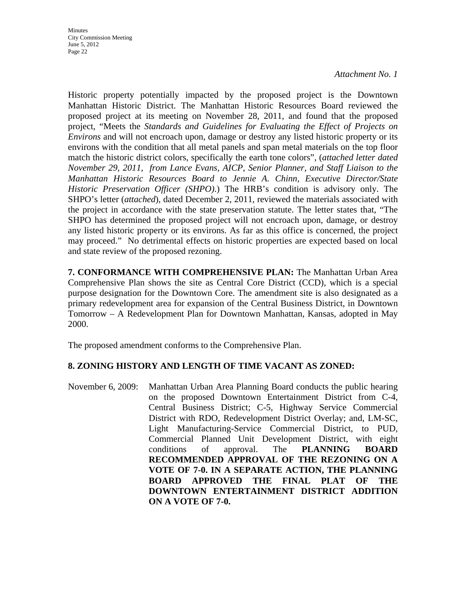Historic property potentially impacted by the proposed project is the Downtown Manhattan Historic District. The Manhattan Historic Resources Board reviewed the proposed project at its meeting on November 28, 2011, and found that the proposed project, "Meets the *Standards and Guidelines for Evaluating the Effect of Projects on Environs* and will not encroach upon, damage or destroy any listed historic property or its environs with the condition that all metal panels and span metal materials on the top floor match the historic district colors, specifically the earth tone colors", (*attached letter dated November 29, 2011, from Lance Evans, AICP, Senior Planner, and Staff Liaison to the Manhattan Historic Resources Board to Jennie A. Chinn, Executive Director/State Historic Preservation Officer (SHPO)*.) The HRB's condition is advisory only. The SHPO's letter (*attached*), dated December 2, 2011, reviewed the materials associated with the project in accordance with the state preservation statute. The letter states that, "The SHPO has determined the proposed project will not encroach upon, damage, or destroy any listed historic property or its environs. As far as this office is concerned, the project may proceed." No detrimental effects on historic properties are expected based on local and state review of the proposed rezoning.

**7. CONFORMANCE WITH COMPREHENSIVE PLAN:** The Manhattan Urban Area Comprehensive Plan shows the site as Central Core District (CCD), which is a special purpose designation for the Downtown Core. The amendment site is also designated as a primary redevelopment area for expansion of the Central Business District, in Downtown Tomorrow – A Redevelopment Plan for Downtown Manhattan, Kansas, adopted in May 2000.

The proposed amendment conforms to the Comprehensive Plan.

### **8. ZONING HISTORY AND LENGTH OF TIME VACANT AS ZONED:**

November 6, 2009: Manhattan Urban Area Planning Board conducts the public hearing on the proposed Downtown Entertainment District from C-4, Central Business District; C-5, Highway Service Commercial District with RDO, Redevelopment District Overlay; and, LM-SC, Light Manufacturing-Service Commercial District, to PUD, Commercial Planned Unit Development District, with eight conditions of approval. The **PLANNING BOARD RECOMMENDED APPROVAL OF THE REZONING ON A VOTE OF 7-0. IN A SEPARATE ACTION, THE PLANNING BOARD APPROVED THE FINAL PLAT OF THE DOWNTOWN ENTERTAINMENT DISTRICT ADDITION ON A VOTE OF 7-0.**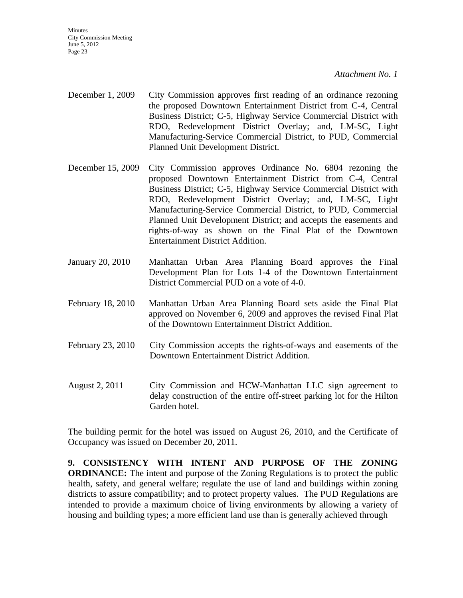**Minutes** City Commission Meeting June 5, 2012 Page 23

*Attachment No. 1*

- December 1, 2009 City Commission approves first reading of an ordinance rezoning the proposed Downtown Entertainment District from C-4, Central Business District; C-5, Highway Service Commercial District with RDO, Redevelopment District Overlay; and, LM-SC, Light Manufacturing-Service Commercial District, to PUD, Commercial Planned Unit Development District.
- December 15, 2009 City Commission approves Ordinance No. 6804 rezoning the proposed Downtown Entertainment District from C-4, Central Business District; C-5, Highway Service Commercial District with RDO, Redevelopment District Overlay; and, LM-SC, Light Manufacturing-Service Commercial District, to PUD, Commercial Planned Unit Development District; and accepts the easements and rights-of-way as shown on the Final Plat of the Downtown Entertainment District Addition.
- January 20, 2010 Manhattan Urban Area Planning Board approves the Final Development Plan for Lots 1-4 of the Downtown Entertainment District Commercial PUD on a vote of 4-0.
- February 18, 2010 Manhattan Urban Area Planning Board sets aside the Final Plat approved on November 6, 2009 and approves the revised Final Plat of the Downtown Entertainment District Addition.
- February 23, 2010 City Commission accepts the rights-of-ways and easements of the Downtown Entertainment District Addition.
- August 2, 2011 City Commission and HCW-Manhattan LLC sign agreement to delay construction of the entire off-street parking lot for the Hilton Garden hotel.

The building permit for the hotel was issued on August 26, 2010, and the Certificate of Occupancy was issued on December 20, 2011.

**9. CONSISTENCY WITH INTENT AND PURPOSE OF THE ZONING ORDINANCE:** The intent and purpose of the Zoning Regulations is to protect the public health, safety, and general welfare; regulate the use of land and buildings within zoning districts to assure compatibility; and to protect property values. The PUD Regulations are intended to provide a maximum choice of living environments by allowing a variety of housing and building types; a more efficient land use than is generally achieved through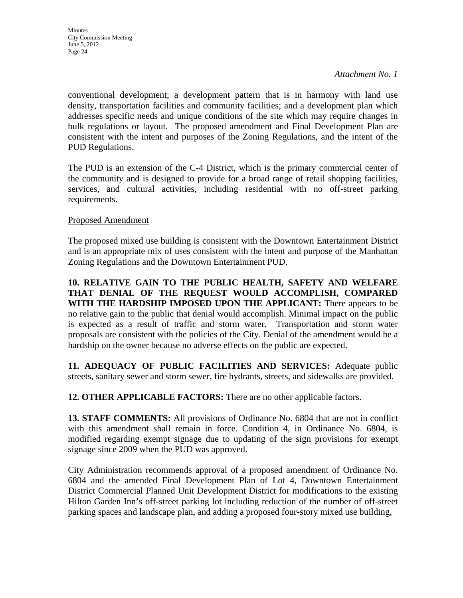conventional development; a development pattern that is in harmony with land use density, transportation facilities and community facilities; and a development plan which addresses specific needs and unique conditions of the site which may require changes in bulk regulations or layout. The proposed amendment and Final Development Plan are consistent with the intent and purposes of the Zoning Regulations, and the intent of the PUD Regulations.

The PUD is an extension of the C-4 District, which is the primary commercial center of the community and is designed to provide for a broad range of retail shopping facilities, services, and cultural activities, including residential with no off-street parking requirements.

### Proposed Amendment

The proposed mixed use building is consistent with the Downtown Entertainment District and is an appropriate mix of uses consistent with the intent and purpose of the Manhattan Zoning Regulations and the Downtown Entertainment PUD.

**10. RELATIVE GAIN TO THE PUBLIC HEALTH, SAFETY AND WELFARE THAT DENIAL OF THE REQUEST WOULD ACCOMPLISH, COMPARED WITH THE HARDSHIP IMPOSED UPON THE APPLICANT:** There appears to be no relative gain to the public that denial would accomplish. Minimal impact on the public is expected as a result of traffic and storm water. Transportation and storm water proposals are consistent with the policies of the City. Denial of the amendment would be a hardship on the owner because no adverse effects on the public are expected.

**11. ADEQUACY OF PUBLIC FACILITIES AND SERVICES:** Adequate public streets, sanitary sewer and storm sewer, fire hydrants, streets, and sidewalks are provided.

**12. OTHER APPLICABLE FACTORS:** There are no other applicable factors.

**13. STAFF COMMENTS:** All provisions of Ordinance No. 6804 that are not in conflict with this amendment shall remain in force. Condition 4, in Ordinance No. 6804, is modified regarding exempt signage due to updating of the sign provisions for exempt signage since 2009 when the PUD was approved.

City Administration recommends approval of a proposed amendment of Ordinance No. 6804 and the amended Final Development Plan of Lot 4, Downtown Entertainment District Commercial Planned Unit Development District for modifications to the existing Hilton Garden Inn's off-street parking lot including reduction of the number of off-street parking spaces and landscape plan, and adding a proposed four-story mixed use building,